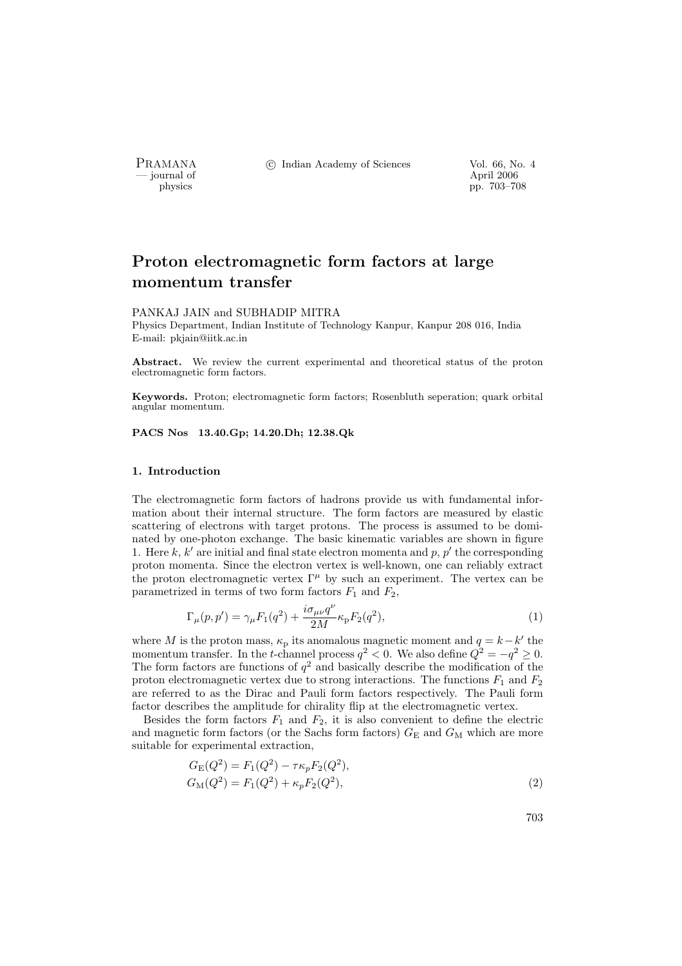- journal of<br>physics

PRAMANA <sup>©</sup>© Indian Academy of Sciences Vol. 66, No. 4<br>
— journal of April 2006

physics pp. 703–708

# Proton electromagnetic form factors at large momentum transfer

#### PANKAJ JAIN and SUBHADIP MITRA

Physics Department, Indian Institute of Technology Kanpur, Kanpur 208 016, India E-mail: pkjain@iitk.ac.in

Abstract. We review the current experimental and theoretical status of the proton electromagnetic form factors.

Keywords. Proton; electromagnetic form factors; Rosenbluth seperation; quark orbital angular momentum.

PACS Nos 13.40.Gp; 14.20.Dh; 12.38.Qk

# 1. Introduction

The electromagnetic form factors of hadrons provide us with fundamental information about their internal structure. The form factors are measured by elastic scattering of electrons with target protons. The process is assumed to be dominated by one-photon exchange. The basic kinematic variables are shown in figure 1. Here k, k' are initial and final state electron momenta and p, p' the corresponding proton momenta. Since the electron vertex is well-known, one can reliably extract the proton electromagnetic vertex  $\Gamma^{\mu}$  by such an experiment. The vertex can be parametrized in terms of two form factors  $F_1$  and  $F_2$ ,

$$
\Gamma_{\mu}(p, p') = \gamma_{\mu} F_1(q^2) + \frac{i \sigma_{\mu \nu} q^{\nu}}{2M} \kappa_{\mathcal{P}} F_2(q^2), \tag{1}
$$

where M is the proton mass,  $\kappa_p$  its anomalous magnetic moment and  $q = k - k'$  the momentum transfer. In the t-channel process  $q^2 < 0$ . We also define  $Q^2 = -q^2 \ge 0$ . The form factors are functions of  $q^2$  and basically describe the modification of the proton electromagnetic vertex due to strong interactions. The functions  $F_1$  and  $F_2$ are referred to as the Dirac and Pauli form factors respectively. The Pauli form factor describes the amplitude for chirality flip at the electromagnetic vertex.

Besides the form factors  $F_1$  and  $F_2$ , it is also convenient to define the electric and magnetic form factors (or the Sachs form factors)  $G<sub>E</sub>$  and  $G<sub>M</sub>$  which are more suitable for experimental extraction,

$$
G_{\rm E}(Q^2) = F_1(Q^2) - \tau \kappa_p F_2(Q^2),
$$
  
\n
$$
G_{\rm M}(Q^2) = F_1(Q^2) + \kappa_p F_2(Q^2),
$$
\n(2)

703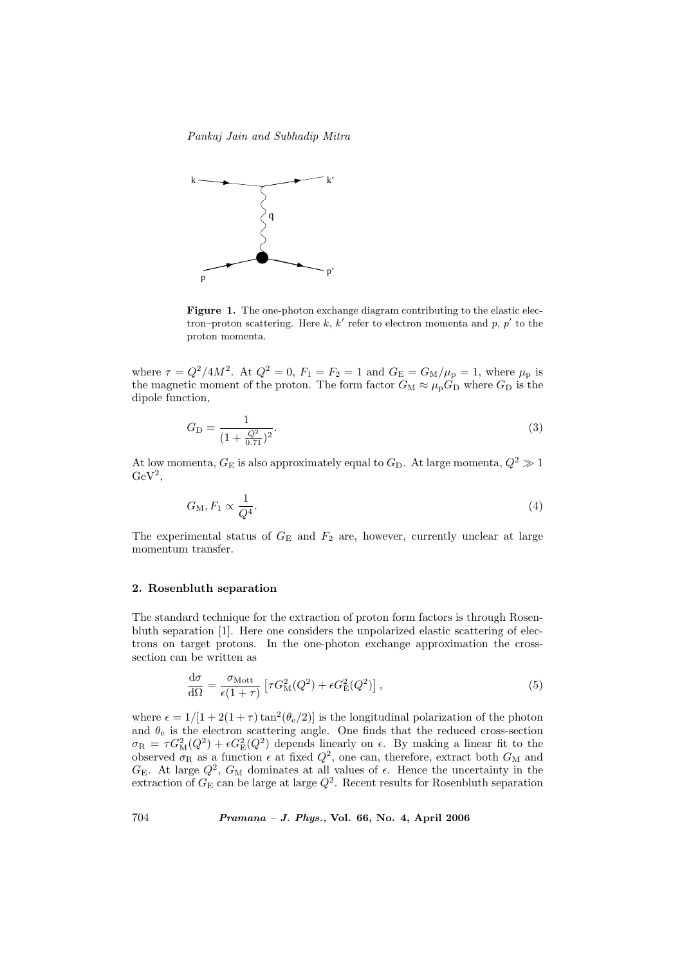Pankaj Jain and Subhadip Mitra



Figure 1. The one-photon exchange diagram contributing to the elastic electron–proton scattering. Here k, k' refer to electron momenta and p, p' to the proton momenta.

where  $\tau = Q^2/4M^2$ . At  $Q^2 = 0$ ,  $F_1 = F_2 = 1$  and  $G_E = G_M/\mu_p = 1$ , where  $\mu_p$  is the magnetic moment of the proton. The form factor  $G_M \approx \mu_p G_D$  where  $G_D$  is the dipole function,

$$
G_{\rm D} = \frac{1}{(1 + \frac{Q^2}{0.71})^2}.\tag{3}
$$

At low momenta,  $G_{\rm E}$  is also approximately equal to  $G_{\rm D}$ . At large momenta,  $Q^2 \gg 1$  $GeV<sup>2</sup>$ ,

$$
G_M, F_1 \propto \frac{1}{Q^4}.\tag{4}
$$

The experimental status of  $G<sub>E</sub>$  and  $F<sub>2</sub>$  are, however, currently unclear at large momentum transfer.

# 2. Rosenbluth separation

The standard technique for the extraction of proton form factors is through Rosenbluth separation [1]. Here one considers the unpolarized elastic scattering of electrons on target protons. In the one-photon exchange approximation the crosssection can be written as

$$
\frac{d\sigma}{d\Omega} = \frac{\sigma_{\text{Mott}}}{\epsilon(1+\tau)} \left[ \tau G_{\text{M}}^2(Q^2) + \epsilon G_{\text{E}}^2(Q^2) \right],\tag{5}
$$

where  $\epsilon = 1/[1 + 2(1 + \tau)\tan^2(\theta_e/2)]$  is the longitudinal polarization of the photon and  $\theta_e$  is the electron scattering angle. One finds that the reduced cross-section  $\sigma_{\rm R} = \tau G_{\rm M}^2(Q^2) + \epsilon G_{\rm E}^2(Q^2)$  depends linearly on  $\epsilon$ . By making a linear fit to the observed  $\sigma_{\rm R}$  as a function  $\epsilon$  at fixed  $Q^2$ , one can, therefore, extract both  $G_{\rm M}$  and  $G_{\rm E}$ . At large  $Q^2$ ,  $G_{\rm M}$  dominates at all values of  $\epsilon$ . Hence the uncertainty in the extraction of  $G_{\rm E}$  can be large at large  $Q^2$ . Recent results for Rosenbluth separation

704 Pramana – J. Phys., Vol. 66, No. 4, April 2006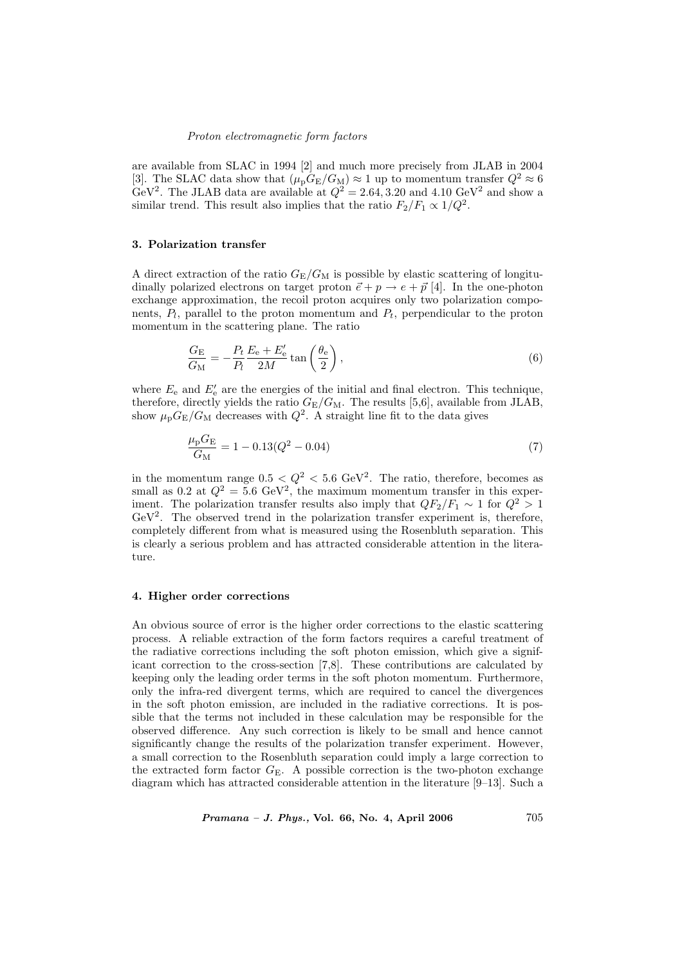#### Proton electromagnetic form factors

are available from SLAC in 1994 [2] and much more precisely from JLAB in 2004 [3]. The SLAC data show that  $(\mu_{p}G_{E}/G_{M}) \approx 1$  up to momentum transfer  $Q^{2} \approx 6$ GeV<sup>2</sup>. The JLAB data are available at  $Q^2 = 2.64, 3.20$  and  $4.10 \text{ GeV}^2$  and show a similar trend. This result also implies that the ratio  $F_2/F_1 \propto 1/Q^2$ .

# 3. Polarization transfer

A direct extraction of the ratio  $G_{\rm E}/G_{\rm M}$  is possible by elastic scattering of longitudinally polarized electrons on target proton  $\vec{e} + p \rightarrow e + \vec{p}$  [4]. In the one-photon exchange approximation, the recoil proton acquires only two polarization components,  $P_l$ , parallel to the proton momentum and  $P_t$ , perpendicular to the proton momentum in the scattering plane. The ratio

$$
\frac{G_{\rm E}}{G_{\rm M}} = -\frac{P_t}{P_l} \frac{E_{\rm e} + E_{\rm e}'}{2M} \tan\left(\frac{\theta_{\rm e}}{2}\right),\tag{6}
$$

where  $E_e$  and  $E'_e$  are the energies of the initial and final electron. This technique, therefore, directly yields the ratio  $G_{\rm E}/G_{\rm M}$ . The results [5,6], available from JLAB, show  $\mu_{\rm p}G_{\rm E}/G_{\rm M}$  decreases with  $Q^2$ . A straight line fit to the data gives

$$
\frac{\mu_{\rm p} G_{\rm E}}{G_{\rm M}} = 1 - 0.13(Q^2 - 0.04)
$$
\n(7)

in the momentum range  $0.5 < Q^2 < 5.6 \text{ GeV}^2$ . The ratio, therefore, becomes as small as 0.2 at  $Q^2 = 5.6 \text{ GeV}^2$ , the maximum momentum transfer in this experiment. The polarization transfer results also imply that  $QF_2/F_1 \sim 1$  for  $Q^2 > 1$  $GeV<sup>2</sup>$ . The observed trend in the polarization transfer experiment is, therefore, completely different from what is measured using the Rosenbluth separation. This is clearly a serious problem and has attracted considerable attention in the literature.

# 4. Higher order corrections

An obvious source of error is the higher order corrections to the elastic scattering process. A reliable extraction of the form factors requires a careful treatment of the radiative corrections including the soft photon emission, which give a significant correction to the cross-section [7,8]. These contributions are calculated by keeping only the leading order terms in the soft photon momentum. Furthermore, only the infra-red divergent terms, which are required to cancel the divergences in the soft photon emission, are included in the radiative corrections. It is possible that the terms not included in these calculation may be responsible for the observed difference. Any such correction is likely to be small and hence cannot significantly change the results of the polarization transfer experiment. However, a small correction to the Rosenbluth separation could imply a large correction to the extracted form factor  $G_E$ . A possible correction is the two-photon exchange diagram which has attracted considerable attention in the literature [9–13]. Such a

 $Pramana - J. Phys., Vol. 66, No. 4, April 2006$   $705$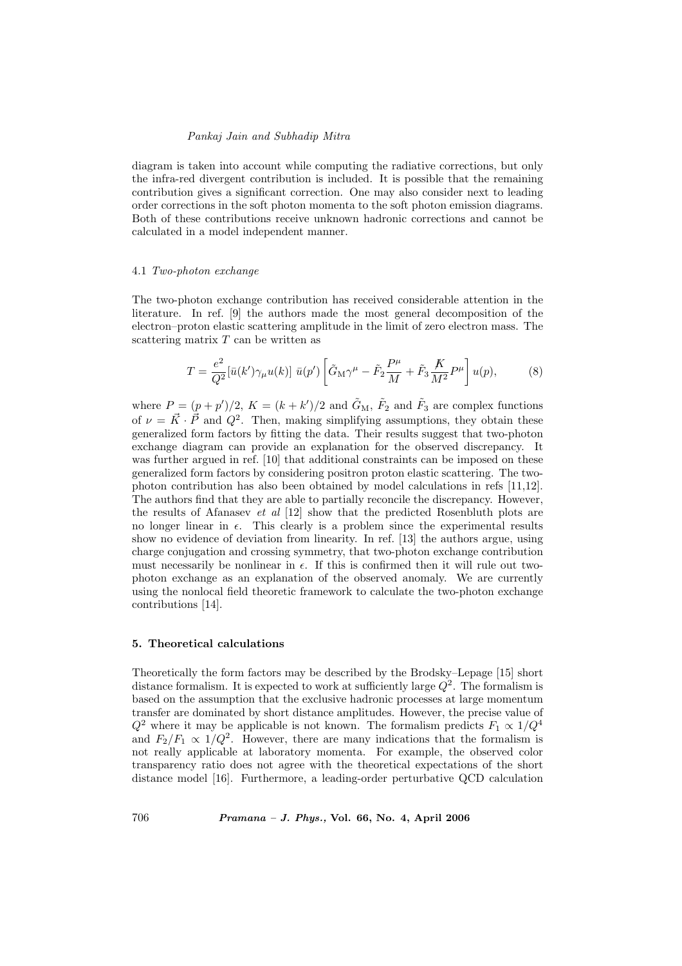## Pankaj Jain and Subhadip Mitra

diagram is taken into account while computing the radiative corrections, but only the infra-red divergent contribution is included. It is possible that the remaining contribution gives a significant correction. One may also consider next to leading order corrections in the soft photon momenta to the soft photon emission diagrams. Both of these contributions receive unknown hadronic corrections and cannot be calculated in a model independent manner.

### 4.1 Two-photon exchange

The two-photon exchange contribution has received considerable attention in the literature. In ref. [9] the authors made the most general decomposition of the electron–proton elastic scattering amplitude in the limit of zero electron mass. The scattering matrix  $T$  can be written as

$$
T = \frac{e^2}{Q^2} [\bar{u}(k')\gamma_\mu u(k)] \ \bar{u}(p') \left[ \tilde{G}_M \gamma^\mu - \tilde{F}_2 \frac{P^\mu}{M} + \tilde{F}_3 \frac{K}{M^2} P^\mu \right] u(p), \tag{8}
$$

where  $P = (p + p')/2$ ,  $K = (k + k')/2$  and  $\tilde{G}_{M}$ ,  $\tilde{F}_{2}$  and  $\tilde{F}_{3}$  are complex functions of  $\nu = \vec{K} \cdot \vec{P}$  and  $Q^2$ . Then, making simplifying assumptions, they obtain these generalized form factors by fitting the data. Their results suggest that two-photon exchange diagram can provide an explanation for the observed discrepancy. It was further argued in ref. [10] that additional constraints can be imposed on these generalized form factors by considering positron proton elastic scattering. The twophoton contribution has also been obtained by model calculations in refs [11,12]. The authors find that they are able to partially reconcile the discrepancy. However, the results of Afanasev et al [12] show that the predicted Rosenbluth plots are no longer linear in  $\epsilon$ . This clearly is a problem since the experimental results show no evidence of deviation from linearity. In ref. [13] the authors argue, using charge conjugation and crossing symmetry, that two-photon exchange contribution must necessarily be nonlinear in  $\epsilon$ . If this is confirmed then it will rule out twophoton exchange as an explanation of the observed anomaly. We are currently using the nonlocal field theoretic framework to calculate the two-photon exchange contributions [14].

# 5. Theoretical calculations

Theoretically the form factors may be described by the Brodsky–Lepage [15] short distance formalism. It is expected to work at sufficiently large  $Q^2$ . The formalism is based on the assumption that the exclusive hadronic processes at large momentum transfer are dominated by short distance amplitudes. However, the precise value of  $Q^2$  where it may be applicable is not known. The formalism predicts  $F_1 \propto 1/Q^4$ and  $F_2/F_1 \propto 1/Q^2$ . However, there are many indications that the formalism is not really applicable at laboratory momenta. For example, the observed color transparency ratio does not agree with the theoretical expectations of the short distance model [16]. Furthermore, a leading-order perturbative QCD calculation

706 Pramana – J. Phys., Vol. 66, No. 4, April 2006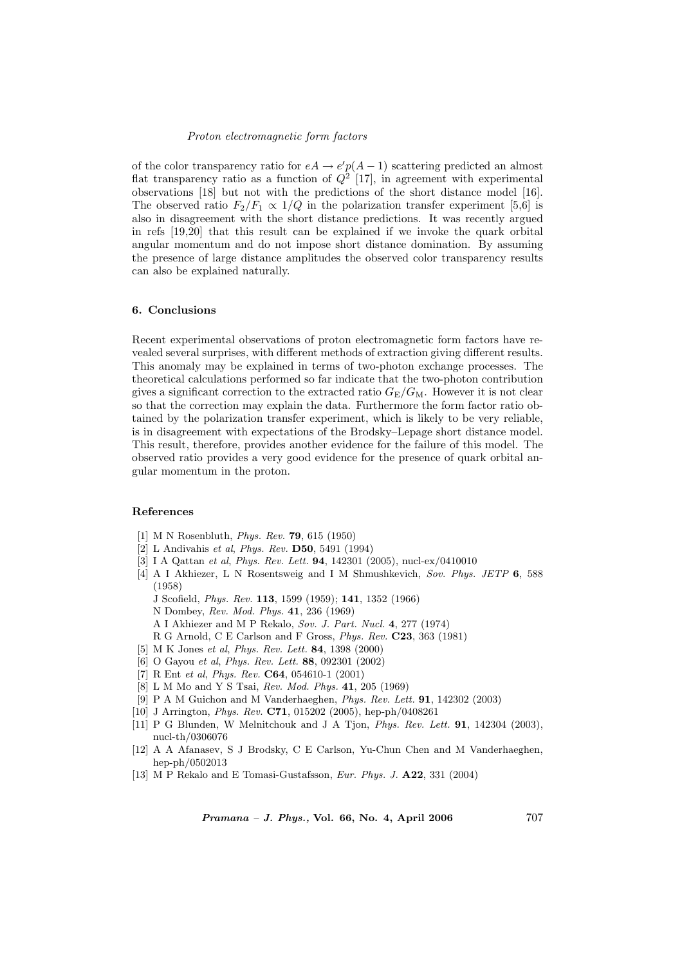#### Proton electromagnetic form factors

of the color transparency ratio for  $eA \rightarrow e'p(A-1)$  scattering predicted an almost flat transparency ratio as a function of  $Q^2$  [17], in agreement with experimental observations [18] but not with the predictions of the short distance model [16]. The observed ratio  $F_2/F_1 \propto 1/Q$  in the polarization transfer experiment [5,6] is also in disagreement with the short distance predictions. It was recently argued in refs [19,20] that this result can be explained if we invoke the quark orbital angular momentum and do not impose short distance domination. By assuming the presence of large distance amplitudes the observed color transparency results can also be explained naturally.

# 6. Conclusions

Recent experimental observations of proton electromagnetic form factors have revealed several surprises, with different methods of extraction giving different results. This anomaly may be explained in terms of two-photon exchange processes. The theoretical calculations performed so far indicate that the two-photon contribution gives a significant correction to the extracted ratio  $G_{\rm E}/G_{\rm M}$ . However it is not clear so that the correction may explain the data. Furthermore the form factor ratio obtained by the polarization transfer experiment, which is likely to be very reliable, is in disagreement with expectations of the Brodsky–Lepage short distance model. This result, therefore, provides another evidence for the failure of this model. The observed ratio provides a very good evidence for the presence of quark orbital angular momentum in the proton.

## References

- [1] M N Rosenbluth, Phys. Rev. 79, 615 (1950)
- [2] L Andivahis et al, Phys. Rev. D50, 5491 (1994)
- [3] I A Qattan et al, Phys. Rev. Lett. 94, 142301 (2005), nucl-ex/0410010
- [4] A I Akhiezer, L N Rosentsweig and I M Shmushkevich, Sov. Phys. JETP 6, 588 (1958)
	- J Scofield, Phys. Rev. 113, 1599 (1959); 141, 1352 (1966)
	- N Dombey, Rev. Mod. Phys. 41, 236 (1969)
	- A I Akhiezer and M P Rekalo, Sov. J. Part. Nucl. 4, 277 (1974)
	- R G Arnold, C E Carlson and F Gross, *Phys. Rev.* **C23**, 363 (1981)
- [5] M K Jones et al, Phys. Rev. Lett. 84, 1398 (2000)
- [6] O Gayou et al, Phys. Rev. Lett. 88, 092301 (2002)
- [7] R Ent et al, *Phys. Rev.* **C64**, 054610-1 (2001)
- [8] L M Mo and Y S Tsai, Rev. Mod. Phys. 41, 205 (1969)
- [9] P A M Guichon and M Vanderhaeghen, Phys. Rev. Lett. 91, 142302 (2003)
- [10] J Arrington, Phys. Rev. C71, 015202 (2005), hep-ph/0408261
- [11] P G Blunden, W Melnitchouk and J A Tjon, Phys. Rev. Lett. 91, 142304 (2003), nucl-th/0306076
- [12] A A Afanasev, S J Brodsky, C E Carlson, Yu-Chun Chen and M Vanderhaeghen, hep-ph/0502013
- [13] M P Rekalo and E Tomasi-Gustafsson, Eur. Phys. J. A22, 331 (2004)